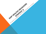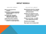## IMPACT MODELS

l.

#### ISOLATED IMPACT

- Best for resolving technical problems.
- Organizations compete emphasizing how their individual impact has greatest effect.
- Assumption that successful organization will grow and replicate for greater impact
- Answer often known in advance
- Granters desire to find and fund a solution in a single organization.

#### COLLECTIVE IMPACT

- Social issues arise from interplay of government, commercial, and social sector
- Problems are adaptive & more complex needing a systemic approach to resolution.
- Answer is not known & needs cross organizational effort.
- Solutions are emergent
- May require new funding model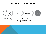### COLLECTIVE IMPACT PROCESS



### Multiple Organizations Looking for Resources and Innovation Through the Same Lens

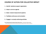### COURSE OF ACTION FOR COLLECTIVE IMPACT

- 1. Identify backbone support organization
- 2. Adopt a common agenda

j

- 3. Select shared measurement systems
- 4. Facilitate continuous communication
- 5. Engage in mutually reinforcing activities

From Stanford Social Innovation Review, Winter 2011, *John Kania & Mark Kramer* [http://c.ymcdn.com/sites/www.lano.org/resource/dynamic/blogs/20131007\\_093137\\_25993.pdf](http://c.ymcdn.com/sites/www.lano.org/resource/dynamic/blogs/20131007_093137_25993.pdf)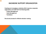## BACKBONE SUPPORT ORGANIZATION

Creating and managing a collective effort requires a separate organization and staff with the following skills:

- Project Management
- Data Management
- Facilitation

Structured process for effective decision making

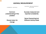### AGENDA/MEASUREMENT

COMMON AGENDA

SHARED MEASUREMENT SYSTEM

Common understanding of the problem

Shared vision for change

Success measured and reported consistently

Same Overarching but Different Activity Goals

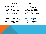# ACTIVITY & COMMUNICATION

#### MUTUALLY REINFORCING ACTIVITIES

Each participant organization participates with *activities at which it* excels in a way that supports the work of others

Power of collaborative comes from coordination of differentiated activity in a single plan

l,

#### CONTINUOUS COMMUNICATION

Trust built through deepening relationships & objective evidence in defining the best possible solution.

### Frequent meetings among

organization decision makers facilitated by external facilitators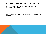# ALIGNMENT & COORDINATION ACTION PLAN

- 1. Identify and investigate the mission vision & goals of current HE & AL organizational efforts statewide
- 2. Create a forum to develop consensus for overarching impact goals
- 3. Identify and implement common success measurements for organizations doing similar work
- 4. Create tools and schedule for continuous cohesive communication

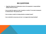# BIG QUESTIONS

- Regarding Alignment & Collaboration where is the separation in responsibilities between DPHI & DE HEAL?
- Can we create the urgency to meet bi-weekly or monthly? If not what is breakpoint for effectiveness? Will quarterly work?
- Can we create a model for funding collective vs isolated impact?
- Can we identify the resources and clout to manage/collect data/facilitate?